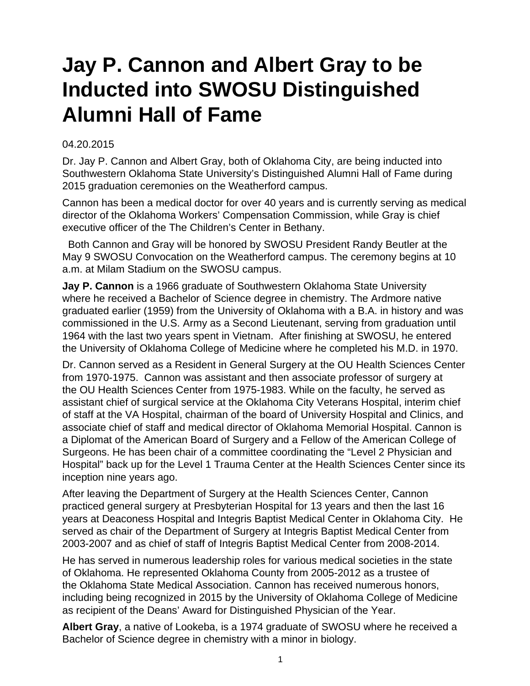## **Jay P. Cannon and Albert Gray to be Inducted into SWOSU Distinguished Alumni Hall of Fame**

## 04.20.2015

Dr. Jay P. Cannon and Albert Gray, both of Oklahoma City, are being inducted into Southwestern Oklahoma State University's Distinguished Alumni Hall of Fame during 2015 graduation ceremonies on the Weatherford campus.

Cannon has been a medical doctor for over 40 years and is currently serving as medical director of the Oklahoma Workers' Compensation Commission, while Gray is chief executive officer of the The Children's Center in Bethany.

 Both Cannon and Gray will be honored by SWOSU President Randy Beutler at the May 9 SWOSU Convocation on the Weatherford campus. The ceremony begins at 10 a.m. at Milam Stadium on the SWOSU campus.

**Jay P. Cannon** is a 1966 graduate of Southwestern Oklahoma State University where he received a Bachelor of Science degree in chemistry. The Ardmore native graduated earlier (1959) from the University of Oklahoma with a B.A. in history and was commissioned in the U.S. Army as a Second Lieutenant, serving from graduation until 1964 with the last two years spent in Vietnam. After finishing at SWOSU, he entered the University of Oklahoma College of Medicine where he completed his M.D. in 1970.

Dr. Cannon served as a Resident in General Surgery at the OU Health Sciences Center from 1970-1975. Cannon was assistant and then associate professor of surgery at the OU Health Sciences Center from 1975-1983. While on the faculty, he served as assistant chief of surgical service at the Oklahoma City Veterans Hospital, interim chief of staff at the VA Hospital, chairman of the board of University Hospital and Clinics, and associate chief of staff and medical director of Oklahoma Memorial Hospital. Cannon is a Diplomat of the American Board of Surgery and a Fellow of the American College of Surgeons. He has been chair of a committee coordinating the "Level 2 Physician and Hospital" back up for the Level 1 Trauma Center at the Health Sciences Center since its inception nine years ago.

After leaving the Department of Surgery at the Health Sciences Center, Cannon practiced general surgery at Presbyterian Hospital for 13 years and then the last 16 years at Deaconess Hospital and Integris Baptist Medical Center in Oklahoma City. He served as chair of the Department of Surgery at Integris Baptist Medical Center from 2003-2007 and as chief of staff of Integris Baptist Medical Center from 2008-2014.

He has served in numerous leadership roles for various medical societies in the state of Oklahoma. He represented Oklahoma County from 2005-2012 as a trustee of the Oklahoma State Medical Association. Cannon has received numerous honors, including being recognized in 2015 by the University of Oklahoma College of Medicine as recipient of the Deans' Award for Distinguished Physician of the Year.

**Albert Gray**, a native of Lookeba, is a 1974 graduate of SWOSU where he received a Bachelor of Science degree in chemistry with a minor in biology.